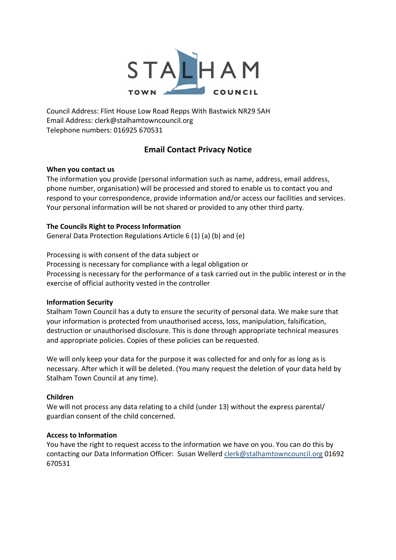

Council Address: Flint House Low Road Repps With Bastwick NR29 5AH Email Address: clerk@stalhamtowncouncil.org Telephone numbers: 016925 670531

# Email Contact Privacy Notice

# When you contact us

The information you provide (personal information such as name, address, email address, phone number, organisation) will be processed and stored to enable us to contact you and respond to your correspondence, provide information and/or access our facilities and services. Your personal information will be not shared or provided to any other third party.

# The Councils Right to Process Information

General Data Protection Regulations Article 6 (1) (a) (b) and (e)

Processing is with consent of the data subject or Processing is necessary for compliance with a legal obligation or Processing is necessary for the performance of a task carried out in the public interest or in the exercise of official authority vested in the controller

## Information Security

Stalham Town Council has a duty to ensure the security of personal data. We make sure that your information is protected from unauthorised access, loss, manipulation, falsification, destruction or unauthorised disclosure. This is done through appropriate technical measures and appropriate policies. Copies of these policies can be requested.

We will only keep your data for the purpose it was collected for and only for as long as is necessary. After which it will be deleted. (You many request the deletion of your data held by Stalham Town Council at any time).

## Children

We will not process any data relating to a child (under 13) without the express parental/ guardian consent of the child concerned.

## Access to Information

You have the right to request access to the information we have on you. You can do this by contacting our Data Information Officer: Susan Wellerd clerk@stalhamtowncouncil.org 01692 670531